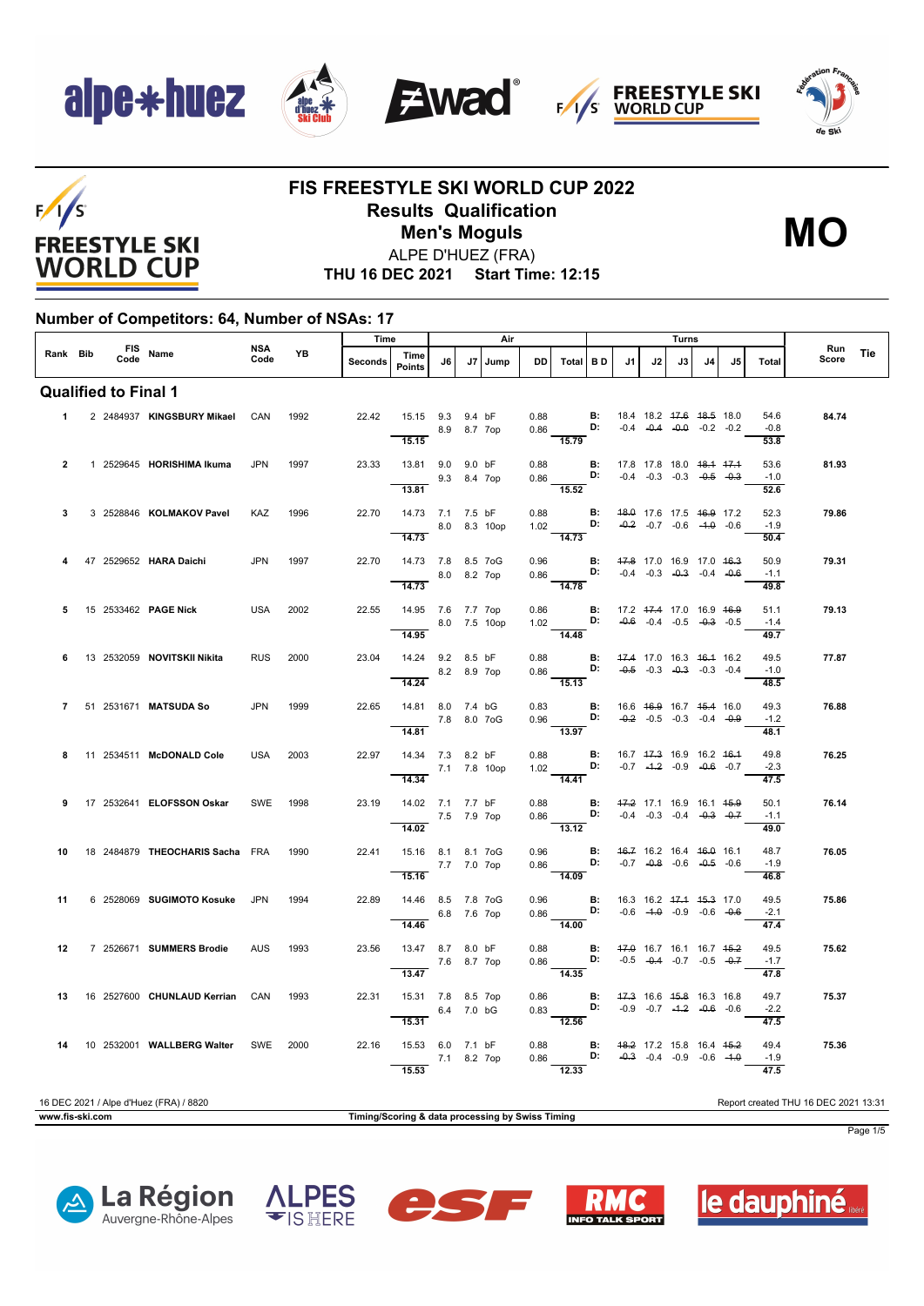

 $F/1/S$ 

**FREESTYLE SKI WORLD CUP** 







### **FIS FREESTYLE SKI WORLD CUP 2022 Results Qualification Men's Moguls MO**



**THU 16 DEC 2021 Start Time: 12:15**

#### **Number of Competitors: 64, Number of NSAs: 17**

|                |  |                             |                                        | <b>NSA</b> |           | Time    |                                                       |             |    | Air          |              |                                                                                                                        |                                               |                                                |                                    | Turns |              |     |                        |                                      |     |
|----------------|--|-----------------------------|----------------------------------------|------------|-----------|---------|-------------------------------------------------------|-------------|----|--------------|--------------|------------------------------------------------------------------------------------------------------------------------|-----------------------------------------------|------------------------------------------------|------------------------------------|-------|--------------|-----|------------------------|--------------------------------------|-----|
| Rank Bib       |  | Code                        | FIS Name                               | Code       | <b>YB</b> | Seconds | Time<br>Points                                        | J6          | J7 | Jump         | <b>DD</b>    | Total BD                                                                                                               |                                               | J1                                             | J2                                 | J3    | $\mathbf{A}$ | .15 | Total                  | Run<br>Score                         | Tie |
|                |  | <b>Qualified to Final 1</b> |                                        |            |           |         |                                                       |             |    |              |              |                                                                                                                        |                                               |                                                |                                    |       |              |     |                        |                                      |     |
| $\mathbf{1}$   |  |                             | 2 2484937 KINGSBURY Mikael             | CAN        | 1992      | 22.42   | 15.15 9.3 9.4 bF<br>15.15                             | 8.9 8.7 7op |    |              |              | 0.88 <b>B</b> : 18.4 18.2 47.6 48.5 18.0<br>0.86 <b>D:</b> -0.4 -0.4 -0.9 -0.2 -0.2<br>$\frac{1}{15.79}$               |                                               |                                                |                                    |       |              |     | 54.6<br>$-0.8$<br>53.8 | 84.74                                |     |
| $\overline{2}$ |  |                             | 1 2529645 HORISHIMA Ikuma              | <b>JPN</b> | 1997      | 23.33   | 13.81 9.0 9.0 bF<br>13.81                             | 9.3 8.4 7op |    |              | 0.88         | $0.86$ D:<br>15.52                                                                                                     | <b>B:</b> 17.8 17.8 18.0 <del>18.1 17.1</del> |                                                | $-0.4$ $-0.3$ $-0.3$ $-0.5$ $-0.3$ |       |              |     | 53.6<br>$-1.0$<br>52.6 | 81.93                                |     |
| 3              |  |                             | 3 2528846 KOLMAKOV Pavel               | KAZ        | 1996      | 22.70   | 14.73 7.1 7.5 bF<br>8.0 8.3 10op<br>14.73             |             |    |              | 0.88         | 1.02<br>$\frac{1}{14.73}$                                                                                              | B:<br>D:                                      | 48.0 17.6 17.5 46.9 17.2                       | $-0.2$ $-0.7$ $-0.6$ $-1.0$ $-0.6$ |       |              |     | 52.3<br>$-1.9$<br>50.4 | 79.86                                |     |
|                |  |                             | 47 2529652 HARA Daichi                 | <b>JPN</b> | 1997      | 22.70   | 14.73 7.8 8.5 7oG<br>8.0 8.2 7op<br>14.73             |             |    |              |              | 0.96 <b>B:</b> 47.8 17.0 16.9 17.0 46.3<br>$0.86$ D: $-0.4$ $-0.3$ $-0.3$ $-0.3$ $-0.4$ $-0.6$<br>$\frac{0.00}{14.78}$ |                                               |                                                |                                    |       |              |     | 50.9<br>$-1.1$<br>49.8 | 79.31                                |     |
| 5              |  |                             | 15 2533462 <b>PAGE Nick</b>            | USA        | 2002      | 22.55   | 14.95 7.6 7.7 7op<br>14.95                            |             |    | 8.0 7.5 10op |              | 0.86 B: 17.2 47.4 17.0 16.9 46.9<br>1.02 <b>D:</b><br>14.48                                                            |                                               |                                                | $-0.6$ $-0.4$ $-0.5$ $-0.3$ $-0.5$ |       |              |     | 51.1<br>$-1.4$<br>49.7 | 79.13                                |     |
|                |  |                             | 13 2532059 NOVITSKII Nikita            | <b>RUS</b> | 2000      | 23.04   | 14.24 9.2 8.5 bF<br>8.2 8.9 7op<br>$\overline{14.24}$ |             |    |              | 0.88         | $0.86$ D: $-0.5$ $-0.3$ $-0.3$ $-0.3$ $-0.4$<br>$\overline{15.13}$                                                     | <b>B:</b> 47.4 17.0 16.3 46.4 16.2            |                                                |                                    |       |              |     | 49.5<br>$-1.0$<br>48.5 | 77.87                                |     |
|                |  |                             | 7 51 2531671 MATSUDA So                | <b>JPN</b> | 1999      | 22.65   | 14.81 8.0 7.4 bG<br>14.81                             | 7.8 8.0 7oG |    |              | 11 M         | 0.83 <b>B:</b> 16.6 46.9 16.7 45.4 16.0<br>$0.96$ D: $-0.2$ $-0.5$ $-0.3$ $-0.4$ $-0.9$<br>$\overline{13.97}$          |                                               |                                                |                                    |       |              |     | 49.3<br>$-1.2$<br>48.1 | 76.88                                |     |
| <b>R</b>       |  |                             | 11 2534511 McDONALD Cole               | <b>USA</b> | 2003      | 22.97   | 14.34 7.3 8.2 bF<br>14.34                             |             |    | 7.1 7.8 10op |              | $0.88$ B:<br>1.02 D:<br>14.41                                                                                          |                                               | 16.7 47.3 16.9 16.2 46.4                       | $-0.7$ $-4.2$ $-0.9$ $-0.6$ $-0.7$ |       |              |     | 49.8<br>$-2.3$<br>47.5 | 76.25                                |     |
| 9              |  |                             | 17 2532641 ELOFSSON Oskar              |            | SWE 1998  | 23.19   | 14.02 7.1 7.7 bF<br>$- 7.5 7.9 7$ op<br>14.02         |             |    |              | 0.88         | $0.86$ D: $-0.4$ $-0.3$ $-0.4$ $-0.3$ $-0.4$<br>13.12                                                                  | <b>B:</b> 47.2 17.1 16.9 16.1 45.9            |                                                |                                    |       |              |     | 50.1<br>$-1.1$<br>49.0 | 76.14                                |     |
| 10             |  |                             | 18 2484879 THEOCHARIS Sacha FRA        |            | 1990      | 22.41   | 15.16 8.1 8.1 7oG<br>15.16                            | 7.7 7.0 7op |    |              | 0.96<br>0.86 | <b>D:</b> $-0.7$ $-0.8$ $-0.6$ $-0.5$ $-0.6$<br>14.09                                                                  | <b>B:</b> 46.7 16.2 16.4 46.0 16.1            |                                                |                                    |       |              |     | 48.7<br>$-1.9$<br>46.8 | 76.05                                |     |
| 11             |  |                             | 6 2528069 SUGIMOTO Kosuke              | <b>JPN</b> | 1994      | 22.89   | 14.46 8.5 7.8 7oG<br>14.46                            | 6.8 7.6 7op |    |              | 0.86         | 0.96 <b>B:</b><br>0.86 <b>D:</b><br>$-14.00$                                                                           |                                               | 16.3 16.2 <del>17.1</del> <del>15.3</del> 17.0 | $-0.6$ $-4.0$ $-0.9$ $-0.6$ $-0.6$ |       |              |     | 49.5<br>$-2.1$<br>47.4 | 75.86                                |     |
| $12 \,$        |  |                             | 7 2526671 SUMMERS Brodie               | <b>AUS</b> | 1993      | 23.56   | 13.47 8.7 8.0 bF<br>7.6 8.7 7op<br>$\overline{13.47}$ |             |    |              |              | 0.88 <b>B:</b> $\frac{47.0}{0.86}$ 16.7 16.1 16.7 $\frac{45.2}{0.86}$<br>$\frac{0.06}{14.35}$                          |                                               |                                                |                                    |       |              |     | 49.5<br>$-1.7$<br>47.8 | 75.62                                |     |
| 13             |  |                             | 16 2527600 CHUNLAUD Kerrian CAN        |            | 1993      | 22.31   | 15.31 7.8 8.5 7op<br>15.31                            | 6.4 7.0 bG  |    |              | 0.86         | 0.83 					 D: $-0.9$ $-0.7$ $-4.2$ $-0.6$ $-0.6$<br>12.56                                                              | <b>B:</b> 47.3 16.6 45.8 16.3 16.8            |                                                |                                    |       |              |     | 49.7<br>$-2.2$<br>47.5 | 75.37                                |     |
| 14             |  |                             | 10 2532001 WALLBERG Walter             | SWE        | 2000      | 22.16   | 15.53 6.0 7.1 bF<br>7.1 8.2 7op<br>15.53              |             |    |              | 0.86         | 0.88 <b>B:</b> 48.2 17.2 15.8 16.4 45.2<br>0.86 <b>D:</b> -0.3 -0.4 -0.9 -0.6 -1.0<br>$\frac{1}{2.33}$                 |                                               |                                                |                                    |       |              |     | 49.4<br>$-1.9$<br>47.5 | 75.36                                |     |
|                |  |                             | 16 DEC 2021 / Alpe d'Huez (FRA) / 8820 |            |           |         |                                                       |             |    |              |              |                                                                                                                        |                                               |                                                |                                    |       |              |     |                        | Report created THU 16 DEC 2021 13:31 |     |



**www.fis-ski.com Timing/Scoring & data processing by Swiss Timing**

Page 1/5









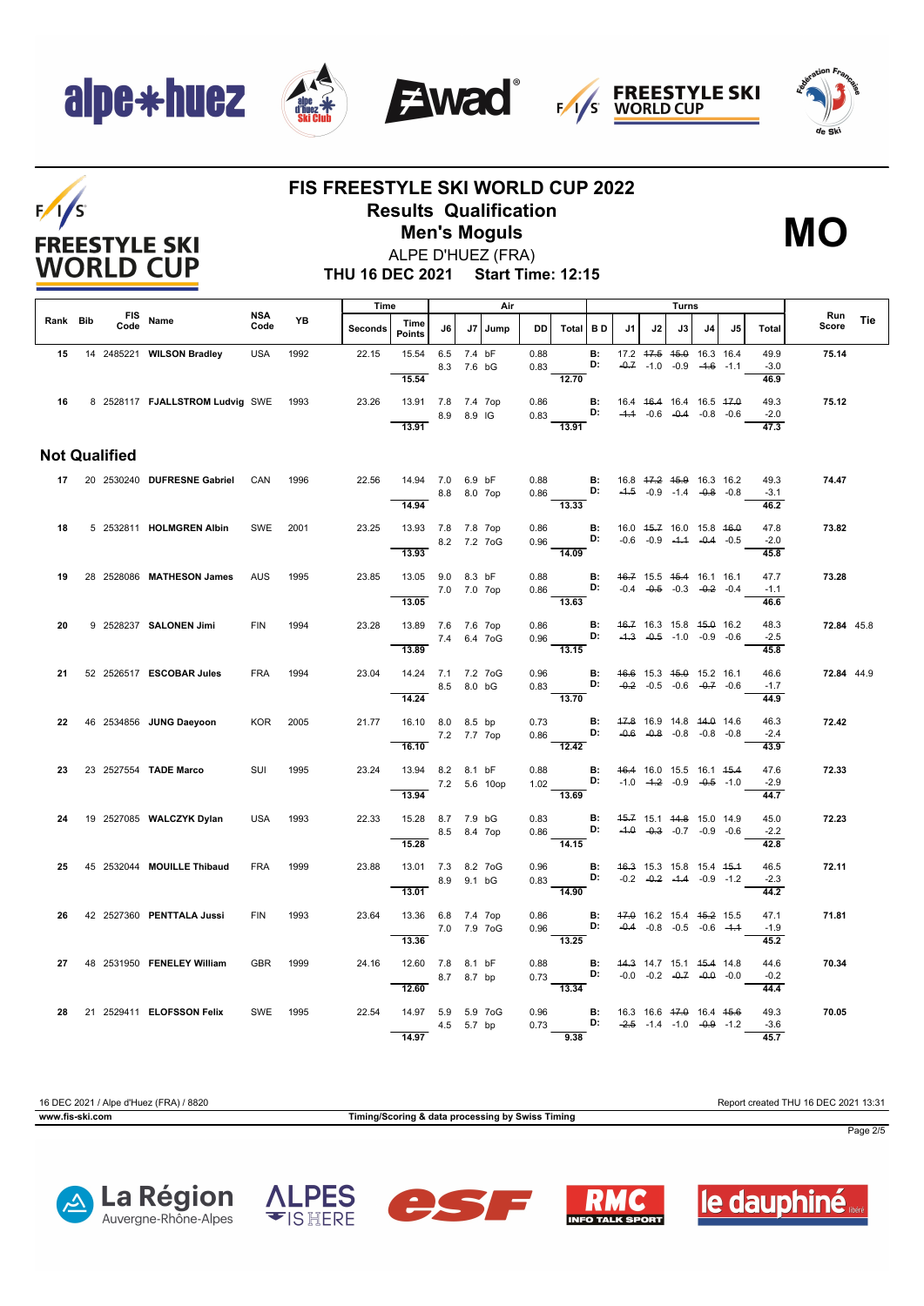$F/1/S$ 

**FREESTYLE SKI WORLD CUP** 









### **FIS FREESTYLE SKI WORLD CUP 2022 Results Qualification Men's Moguls MO**



**THU 16 DEC 2021 Start Time: 12:15** ALPE D'HUEZ (FRA)

|          |                      |                                      |                    |      | Time    |                                           |              |            | Air     |                 |                                                                                                |                                    |                                              |                                    | Turns |    |    |                        |                     |     |
|----------|----------------------|--------------------------------------|--------------------|------|---------|-------------------------------------------|--------------|------------|---------|-----------------|------------------------------------------------------------------------------------------------|------------------------------------|----------------------------------------------|------------------------------------|-------|----|----|------------------------|---------------------|-----|
| Rank Bib | Code                 | FIS Name                             | <b>NSA</b><br>Code | YB   | Seconds | Time<br><b>Points</b>                     | J6           |            | J7 Jump | DD I            | Total BD                                                                                       |                                    | J1                                           | J2                                 | J3    | J4 | J5 | Total                  | <b>Run</b><br>Score | Tie |
|          |                      | 15 14 2485221 WILSON Bradley         | <b>USA</b>         | 1992 | 22.15   | 15.54<br>15.54                            | 6.5 7.4 bF   | 8.3 7.6 bG |         | 0.88            | 0.83<br>$-12.70$                                                                               | <b>B:</b><br>D:                    | 17.2 47.5 45.0 16.3 16.4                     | $-0.7$ $-1.0$ $-0.9$ $-4.6$ $-1.1$ |       |    |    | 49.9<br>$-3.0$<br>46.9 | 75.14               |     |
| 16       |                      | 8 2528117 FJALLSTROM Ludvig SWE 1993 |                    |      | 23.26   | 13.91 7.8 7.4 7op<br>13.91                | 8.9 8.9 IG   |            |         | 0.86            | $0.83$ D: $-4.4$ $-0.6$ $-0.4$ $-0.8$ $-0.6$<br>13.91                                          | <b>B:</b> 16.4 46.4 16.4 16.5 47.0 |                                              |                                    |       |    |    | 49.3<br>$-2.0$<br>47.3 | 75.12               |     |
|          | <b>Not Qualified</b> |                                      |                    |      |         |                                           |              |            |         |                 |                                                                                                |                                    |                                              |                                    |       |    |    |                        |                     |     |
|          |                      | 17 20 2530240 DUFRESNE Gabriel CAN   |                    | 1996 |         | 22.56 14.94 7.0 6.9 bF<br>14.94           | 8.8 8.0 7op  |            |         | and the control | 0.88 <b>B:</b> 16.8 47.2 45.9 16.3 16.2<br>$0.86$ D:<br>13.33                                  |                                    |                                              | $-4.5$ $-0.9$ $-1.4$ $-0.8$ $-0.8$ |       |    |    | 49.3<br>$-3.1$<br>46.2 | 74.47               |     |
| 18       |                      | 5 2532811 HOLMGREN Albin             | SWE                | 2001 | 23.25   | 13.93 7.8 7.8 7op                         | 8.2 7.2 7oG  |            |         |                 | 0.86 <b>B:</b><br>0.96 <b>D:</b>                                                               |                                    | 16.0 45.7 16.0 15.8 46.0                     | $-0.6$ $-0.9$ $-4.4$ $-0.4$ $-0.5$ |       |    |    | 47.8<br>$-2.0$         | 73.82               |     |
| 19       |                      | 28 2528086 MATHESON James            | <b>AUS</b>         | 1995 | 23.85   | 13.93<br>13.05 9.0 8.3 bF                 |              |            |         | 0.88            | $\frac{0.00}{14.09}$<br>$0.86$ D: $-0.4$ $-0.5$ $-0.3$ $-0.2$ $-0.4$                           | <b>B:</b> 46.7 15.5 45.4 16.1 16.1 |                                              |                                    |       |    |    | 45.8<br>47.7<br>$-1.1$ | 73.28               |     |
| 20       |                      | 9 2528237 SALONEN Jimi               | <b>FIN</b>         | 1994 | 23.28   | 7.0 7.0 7op<br>13.05<br>13.89 7.6 7.6 7op |              |            |         |                 | $\overline{13.63}$<br>0.86 <b>B:</b> 46.7 16.3 15.8 45.0 16.2                                  |                                    |                                              |                                    |       |    |    | 46.6<br>48.3           | 72.84 45.8          |     |
|          |                      |                                      |                    |      |         | 13.89                                     | 7.4 6.4 7 oG |            |         |                 | $0.96$ D:<br>13.15                                                                             |                                    |                                              | $-4.3$ $-0.5$ $-1.0$ $-0.9$ $-0.6$ |       |    |    | $-2.5$<br>45.8         |                     |     |
| 21       |                      | 52 2526517 ESCOBAR Jules             | <b>FRA</b>         | 1994 | 23.04   | 14.24 7.1 7.2 7oG<br>8.5 8.0 bG<br>14.24  |              |            |         |                 | 0.96 <b>B:</b> $46.6$ 15.3 $45.0$ 15.2 16.1 0.83 <b>D:</b> $-0.2$ -0.5 -0.6 $-0.7$ -0.6 13.70  |                                    |                                              |                                    |       |    |    | 46.6<br>$-1.7$<br>44.9 | 72.84 44.9          |     |
| 22       |                      | 46 2534856 JUNG Daeyoon              | <b>KOR</b>         | 2005 | 21.77   | 16.10 8.0 8.5 bp<br>7.2 7.7 7op<br>16.10  |              |            |         | 0.73            | $0.86$ D:<br>12.42                                                                             | B:                                 | 47.8 16.9 14.8 44.0 14.6                     | $-0.6$ $-0.8$ $-0.8$ $-0.8$ $-0.8$ |       |    |    | 46.3<br>$-2.4$<br>43.9 | 72.42               |     |
| 23       |                      | 23 2527554 TADE Marco                | SUI                | 1995 | 23.24   | 13.94 8.2 8.1 bF<br>7.2 5.6 10op          |              |            |         | 0.88            | 1.02 <b>D:</b> $-1.0$ $-4.2$ $-0.9$ $-0.5$ $-1.0$<br>$\frac{1.02}{13.69}$                      | <b>B:</b> 46.4 16.0 15.5 16.1 45.4 |                                              |                                    |       |    |    | 47.6<br>$-2.9$         | 72.33               |     |
| 24       |                      | 19 2527085 WALCZYK Dylan             | <b>USA</b>         | 1993 | 22.33   | 13.94<br>15.28 8.7 7.9 bG                 | 8.5 8.4 7op  |            |         | 0.83            | $0.86$ D:                                                                                      | $\mathbf{B}$ :                     | 45.7 15.1 44.8 15.0 14.9                     | $-4.0$ $-0.3$ $-0.7$ $-0.9$ $-0.6$ |       |    |    | 44.7<br>45.0<br>$-2.2$ | 72.23               |     |
| 25       |                      | 45 2532044 MOUILLE Thibaud           | <b>FRA</b>         | 1999 | 23.88   | 15.28<br>13.01 7.3 8.2 7oG                |              |            |         | 0.96            | 14.15<br>0.83                                                                                  | B:                                 | 46.3 15.3 15.8 15.4 45.4                     |                                    |       |    |    | 42.8<br>46.5           | 72.11               |     |
|          |                      |                                      |                    |      |         | 8.9 9.1 bG<br>13.01                       |              |            |         |                 | $\frac{1}{14.90}$                                                                              |                                    | <b>D:</b> $-0.2$ $-0.2$ $-1.4$ $-0.9$ $-1.2$ |                                    |       |    |    | $-2.3$<br>44.2         |                     |     |
| 26       |                      | 42 2527360 PENTTALA Jussi            | <b>FIN</b>         | 1993 | 23.64   | 13.36 6.8 7.4 7op<br>13.36                | 7.0 7.9 7oG  |            |         | 0.86            | $0.96$ D: $-0.4$ $-0.8$ $-0.5$ $-0.6$ $-4.4$<br>$-13.25$                                       | <b>B:</b> 47.0 16.2 15.4 45.2 15.5 |                                              |                                    |       |    |    | 47.1<br>$-1.9$<br>45.2 | 71.81               |     |
| 27       |                      | 48 2531950 FENELEY William           | <b>GBR</b>         | 1999 | 24.16   | 12.60 7.8 8.1 bF<br>12.60                 | 8.7 8.7 bp   |            |         |                 | 0.88 <b>B:</b> 44.3 14.7 15.1 45.4 14.8<br>0.73 <b>B:</b> -0.0 -0.2 -0.7 -0.0 -0.0             |                                    |                                              |                                    |       |    |    | 44.6<br>$-0.2$<br>44.4 | 70.34               |     |
| 28       |                      | 21 2529411 ELOFSSON Felix            | SWE 1995           |      | 22.54   | 14.97 5.9 5.9 7oG<br>14.97                | 4.5 5.7 bp   |            |         |                 | 0.96 <b>B:</b> 16.3 16.6 47.0 16.4 45.6<br>0.73 <b>D:</b> $-2.5$ -1.4 -1.0 $-0.9$ -1.2<br>9.38 |                                    |                                              |                                    |       |    |    | 49.3<br>$-3.6$<br>45.7 | 70.05               |     |

16 DEC 2021 / Alpe d'Huez (FRA) / 8820 Report created THU 16 DEC 2021 13:31

**www.fis-ski.com Timing/Scoring & data processing by Swiss Timing**



Page 2/5









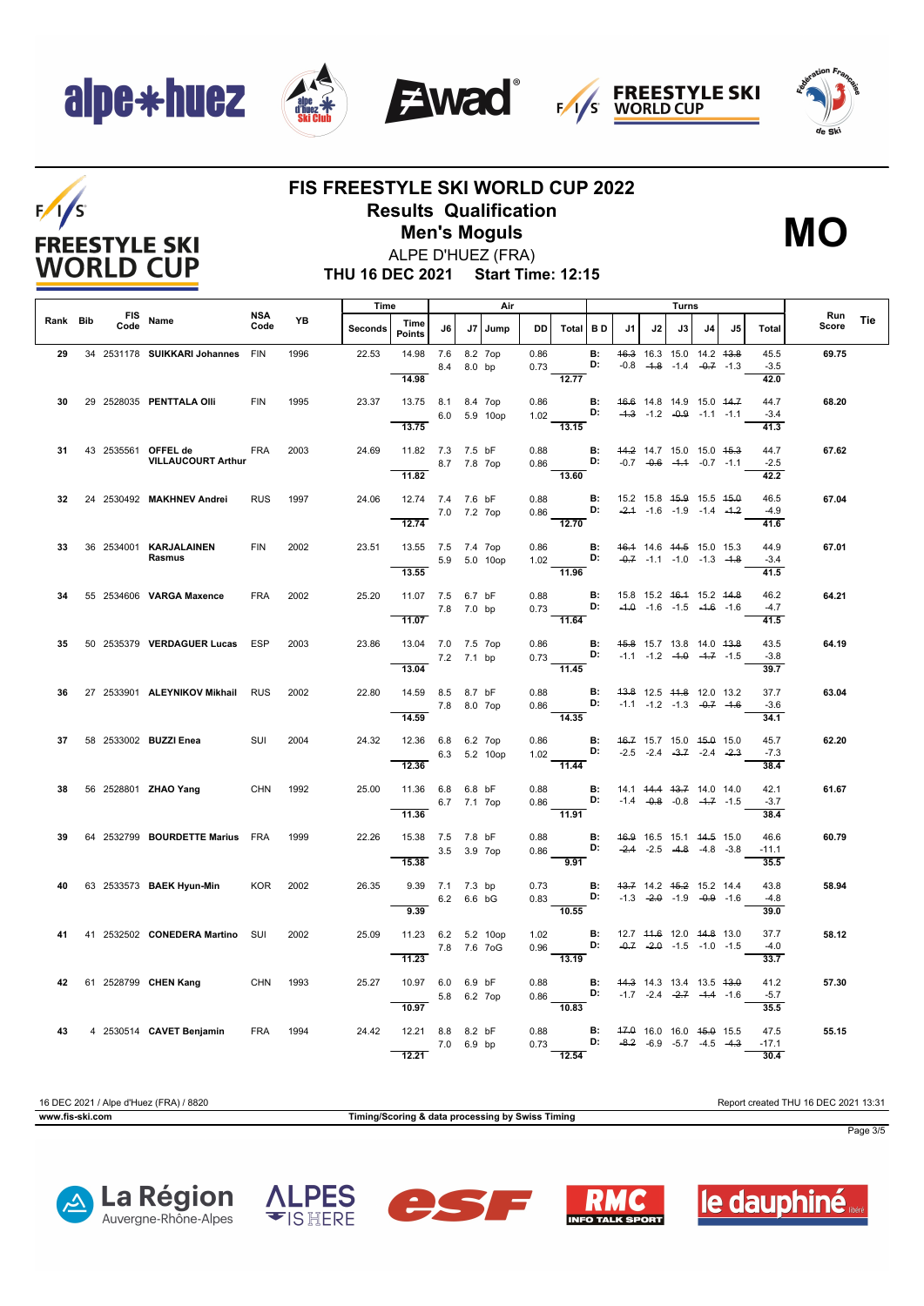$F/1/S$ 

**FREESTYLE SKI WORLD CUP** 









### **FIS FREESTYLE SKI WORLD CUP 2022 Results Qualification Men's Moguls MO**



ALPE D'HUEZ (FRA)

**THU 16 DEC 2021 Start Time: 12:15**

|          |      |                                                      |             |           | Time    |                                            |                   |    | Air          |                                  |                                                                        |                 |                                                                                                   |                                                                | Turns |    |    |                                |              |            |
|----------|------|------------------------------------------------------|-------------|-----------|---------|--------------------------------------------|-------------------|----|--------------|----------------------------------|------------------------------------------------------------------------|-----------------|---------------------------------------------------------------------------------------------------|----------------------------------------------------------------|-------|----|----|--------------------------------|--------------|------------|
| Rank Bib | Code | FIS Name                                             | NSA<br>Code | <b>YB</b> | Seconds | Time<br><b>Points</b>                      | J6                | J7 | Jump         | <b>DD</b>                        | Total BD                                                               |                 | J1                                                                                                | J2 I                                                           | J3    | J4 | J5 | Total                          | Run<br>Score | <b>Tie</b> |
| 29       |      | 34 2531178 SUIKKARI Johannes FIN                     |             | 1996      | 22.53   | 14.98                                      | 7.6<br>8.4 8.0 bp |    | 8.2 7op      | 0.86                             | 0.73<br>12.77                                                          | <b>B:</b><br>D: |                                                                                                   | 46.3 16.3 15.0 14.2 43.8<br>$-0.8$ $-4.8$ $-1.4$ $-0.7$ $-1.3$ |       |    |    | 45.5<br>$-3.5$                 | 69.75        |            |
| 30       |      | 29 2528035 PENTTALA OIIi                             | FIN         | 1995      | 23.37   | 14.98<br>13.75 8.1 8.4 7op<br>13.75        |                   |    | 6.0 5.9 10op | 0.86                             | 1.02 <b>D:</b> $-4.3$ $-1.2$ $-0.9$ $-1.1$ $-1.1$<br>13.15             |                 | <b>B:</b> 46.6 14.8 14.9 15.0 44.7                                                                |                                                                |       |    |    | 42.0<br>44.7<br>$-3.4$<br>41.3 | 68.20        |            |
| 31       |      | 43 2535561 OFFEL de FRA<br><b>VILLAUCOURT Arthur</b> |             | 2003      | 24.69   | 11.82 7.3 7.5 bF<br>11.82                  | 8.7 7.8 7op       |    |              | 0.88<br>0.86                     | 13.60                                                                  | B:<br>D:        | 44.2 14.7 15.0 15.0 45.3                                                                          | $-0.7$ $-0.6$ $-4.4$ $-0.7$ $-1.1$                             |       |    |    | 44.7<br>$-2.5$<br>42.2         | 67.62        |            |
| 32       |      | 24 2530492 MAKHNEV Andrei                            | <b>RUS</b>  | 1997      | 24.06   | 12.74 7.4 7.6 bF<br>7.0 7.2 7op<br>12.74   |                   |    |              | 0.88                             | $0.86$ D: $-2.4$ -1.6 -1.9 -1.4 -1.2<br>$\frac{1}{12.70}$              | <b>B:</b>       |                                                                                                   | 15.2 15.8 <del>15.9</del> 15.5 <del>15.0</del>                 |       |    |    | 46.5<br>$-4.9$<br>41.6         | 67.04        |            |
| 33       |      | 36 2534001 KARJALAINEN<br>Rasmus                     | <b>FIN</b>  | 2002      | 23.51   | 13.55 7.5 7.4 7op<br>13.55                 |                   |    | 5.9 5.0 10op | 0.86                             | 1.02 D:<br>$-11.96$                                                    | B:              | 46.4 14.6 44.5 15.0 15.3                                                                          | $-0.7$ $-1.1$ $-1.0$ $-1.3$ $-1.8$                             |       |    |    | 44.9<br>$-3.4$<br>41.5         | 67.01        |            |
| 34       |      | 55 2534606 VARGA Maxence                             | <b>FRA</b>  | 2002      | 25.20   | 11.07 7.5 6.7 bF<br>11.07                  | 7.8 7.0 bp        |    |              |                                  | 0.88 <b>B:</b><br>0.73 <b>D:</b><br>$\frac{31.5}{11.64}$               |                 |                                                                                                   | 15.8 15.2 46.4 15.2 44.8<br>$-4.0$ $-1.6$ $-1.5$ $-4.6$ $-1.6$ |       |    |    | 46.2<br>$-4.7$<br>41.5         | 64.21        |            |
| 35       |      | 50 2535379 VERDAGUER Lucas ESP                       |             | 2003      | 23.86   | 13.04 7.0 7.5 7op<br>13.04                 | 7.2 7.1 bp        |    |              | 0.86                             | $0.73$ <b>D:</b> $-1.1$ $-1.2$ $-4.0$ $-4.7$ $-1.5$<br>11.45           |                 | <b>B:</b> 45.8 15.7 13.8 14.0 43.8                                                                |                                                                |       |    |    | 43.5<br>$-3.8$<br>39.7         | 64.19        |            |
| 36       |      | 27 2533901 ALEYNIKOV Mikhail                         | <b>RUS</b>  | 2002      | 22.80   | 14.59 8.5 8.7 bF<br>14.59                  | 7.8 8.0 7op       |    |              | 0.88<br>0.86<br>and the contract | D:<br>$\overline{14.35}$                                               | <b>B:</b>       |                                                                                                   | 43.8 12.5 44.8 12.0 13.2<br>$-1.1$ $-1.2$ $-1.3$ $-0.7$ $-1.6$ |       |    |    | 37.7<br>$-3.6$<br>34.1         | 63.04        |            |
| 37       |      | 58 2533002 BUZZI Enea                                | SUI         | 2004      | 24.32   | 12.36 6.8 6.2 7op<br>6.3 5.2 10op<br>12.36 |                   |    |              | 0.86                             | 1.02<br>$\frac{1}{11.44}$                                              | $\blacksquare$  | 46.7 15.7 15.0 45.0 15.0<br><b>D:</b> $-2.5$ $-2.4$ $-3.7$ $-2.4$ $-2.3$                          |                                                                |       |    |    | 45.7<br>$-7.3$<br>38.4         | 62.20        |            |
| 38       |      | 56 2528801 <b>ZHAO Yang</b><br><b>CHN</b>            |             | 1992      | 25.00   | 11.36 6.8 6.8 bF<br>11.36                  | 6.7 7.1 7op       |    |              | 0.88<br>0.86                     | D:<br>11.91                                                            | B:              | 14.1 44.4 43.7 14.0 14.0                                                                          | $-1.4$ $-0.8$ $-0.8$ $-4.7$ $-1.5$                             |       |    |    | 42.1<br>$-3.7$<br>38.4         | 61.67        |            |
| 39       |      | 64 2532799 BOURDETTE Marius FRA                      |             | 1999      | 22.26   | 15.38 7.5 7.8 bF<br>15.38                  | 3.5 3.9 7op       |    |              | 0.88<br>0.86                     | D:<br>$\frac{1}{9.91}$                                                 |                 | <b>B:</b> 46.9 16.5 15.1 44.5 15.0                                                                | $-2.4$ $-2.5$ $-4.8$ $-4.8$ $-3.8$                             |       |    |    | 46.6<br>$-11.1$<br>35.5        | 60.79        |            |
| 40       |      | 63 2533573 BAEK Hyun Min                             | <b>KOR</b>  | 2002      | 26.35   | 9.39 7.1 7.3 bp<br>9.39                    | 6.2 6.6 bG        |    |              | 0.73                             | 0.83 <b>D:</b> $-1.3 \t2.0 \t-1.9 \t-0.9 \t-1.6$<br>$\overline{10.55}$ |                 | <b>B:</b> 43.7 14.2 45.2 15.2 14.4                                                                |                                                                |       |    |    | 43.8<br>$-4.8$<br>39.0         | 58.94        |            |
| 41       |      | 41 2532502 CONEDERA Martino SUI                      |             | 2002      | 25.09   | 11.23 6.2 5.2 10op<br>11.23                | 7.8 7.6 7oG       |    |              | 1.02                             | $0.96$ D:<br>$\overline{13.19}$                                        | B:              |                                                                                                   | 12.7 44.6 12.0 44.8 13.0<br>$-0.7$ $-2.0$ $-1.5$ $-1.0$ $-1.5$ |       |    |    | 37.7<br>$-4.0$<br>33.7         | 58.12        |            |
| 42       |      | 61 2528799 CHEN Kang                                 | <b>CHN</b>  | 1993      | 25.27   | 10.97 6.0 6.9 bF<br>10.97                  | 5.8 6.2 7op       |    |              | 0.88                             | 0.86<br>10.83                                                          | <b>B:</b>       | <del>14.3</del> 14.3 13.4 13.5 <del>13.0</del><br><b>D:</b> $-1.7$ $-2.4$ $-2.7$ $-4.4$ $-1.6$    |                                                                |       |    |    | 41.2<br>$-5.7$<br>35.5         | 57.30        |            |
| 43       |      | 4 2530514 CAVET Benjamin                             | FRA         | 1994      | 24.42   | 12.21 8.8 8.2 bF<br>12.21                  | 7.0 6.9 bp        |    |              | 0.88<br>0.73                     | $\overline{12.54}$                                                     | D:              | <b>B:</b> $\frac{47.0}{16.0}$ 16.0 $\frac{45.0}{16.5}$ 15.5<br>$-8.2$ $-6.9$ $-5.7$ $-4.5$ $-4.3$ |                                                                |       |    |    | 47.5<br>$-17.1$<br>30.4        | 55.15        |            |

**www.fis-ski.com Timing/Scoring & data processing by Swiss Timing**

16 DEC 2021 / Alpe d'Huez (FRA) / 8820 Report created THU 16 DEC 2021 13:31

Page 3/5









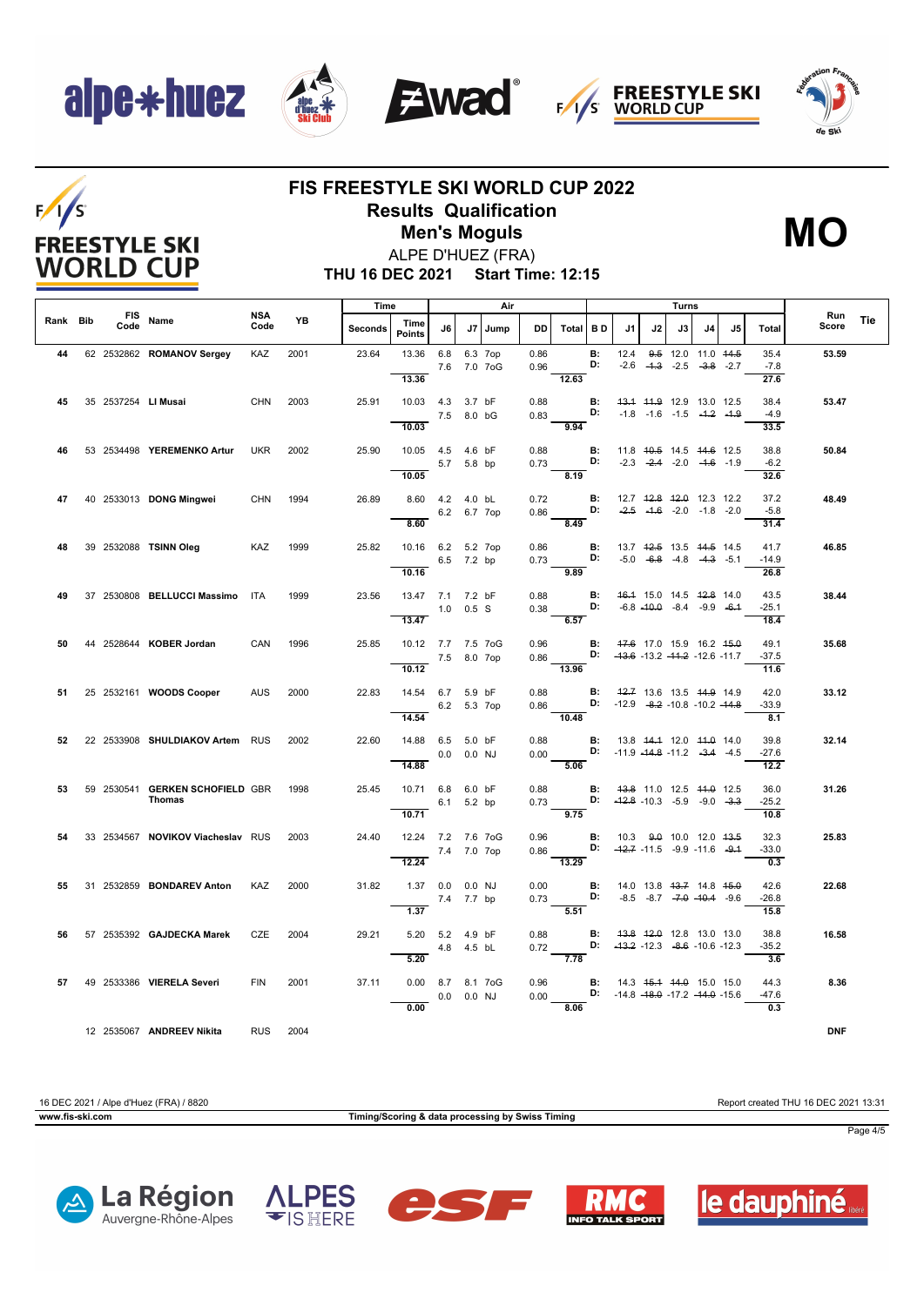$F/1/S$ 

**FREESTYLE SKI WORLD CUP** 









### **FIS FREESTYLE SKI WORLD CUP 2022 Results Qualification Men's Moguls MO**





**THU 16 DEC 2021 Start Time: 12:15**

|          |                     |                                           |                    |      | Time    | Air                                      |             |                            |      |              |                                                           | Turns           |                                                                                                            |    |    |                                                          |                                    |                                 |              |     |
|----------|---------------------|-------------------------------------------|--------------------|------|---------|------------------------------------------|-------------|----------------------------|------|--------------|-----------------------------------------------------------|-----------------|------------------------------------------------------------------------------------------------------------|----|----|----------------------------------------------------------|------------------------------------|---------------------------------|--------------|-----|
| Rank Bib | Code                | FIS Name                                  | <b>NSA</b><br>Code | YB   | Seconds | Time<br>Points                           | J6          | J7                         | Jump | <b>DD</b>    | Total BD                                                  |                 | J1                                                                                                         | J2 | J3 | J4.                                                      | J5                                 | <b>Total</b>                    | Run<br>Score | Tie |
| 44       |                     | 62 2532862 ROMANOV Sergey                 | <b>KAZ</b>         | 2001 | 23.64   | 13.36                                    |             | 6.8 6.3 7op<br>7.6 7.0 7oG |      | 0.86<br>0.96 |                                                           | <b>B:</b><br>D: | 12.4                                                                                                       |    |    | 9.5 12.0 11.0 44.5<br>$-2.6$ $-4.3$ $-2.5$ $-3.8$ $-2.7$ |                                    | 35.4<br>$-7.8$                  | 53.59        |     |
| 45       | 35 2537254 LI Musai |                                           | CHN                | 2003 | 25.91   | 13.36<br>10.03  4.3  3.7 bF<br>10.03     |             | 7.5 8.0 bG                 |      | 0.88<br>0.83 | 12.63<br>D:<br>9.94                                       | B:              | 43.4 44.9 12.9 13.0 12.5                                                                                   |    |    | $-1.8$ $-1.6$ $-1.5$ $-4.2$ $-4.9$                       |                                    | 27.6<br>38.4<br>$-4.9$<br>33.5  | 53.47        |     |
| 46       |                     | 53 2534498 YEREMENKO Artur                | <b>UKR</b>         | 2002 | 25.90   | 10.05  4.5  4.6 bF                       |             | 5.7 5.8 bp                 |      | 0.88<br>0.73 | D:                                                        | B:              | 11.8 40.5 14.5 44.6 12.5                                                                                   |    |    | $-2.3$ $-2.4$ $-2.0$ $-4.6$ $-1.9$                       |                                    | 38.8<br>$-6.2$                  | 50.84        |     |
| 47       |                     | 40 2533013 DONG Mingwei                   | <b>CHN</b>         | 1994 | 26.89   | 10.05<br>8.60  4.2  4.0  bL              |             | 6.2 6.7 7op                |      | 0.72<br>0.86 | 8.19                                                      | B:              | 12.7 <del>12.8</del> <del>12.0</del> 12.3 12.2<br><b>D:</b> $-2.5$ $-4.6$ $-2.0$ $-1.8$ $-2.0$             |    |    |                                                          |                                    | 32.6<br>37.2<br>$-5.8$          | 48.49        |     |
| 48       |                     | 39 2532088 TSINN Oleg                     | KAZ 1999           |      | 25.82   | 8.60<br>10.16 6.2 5.2 7op<br>10.16       |             | 6.5 7.2 bp                 |      | 0.86<br>0.73 | 8.49<br>9.89                                              | B:<br>D:        | 13.7 42.5 13.5 44.5 14.5                                                                                   |    |    |                                                          | $-5.0$ $-6.8$ $-4.8$ $-4.3$ $-5.1$ | 31.4<br>41.7<br>$-14.9$<br>26.8 | 46.85        |     |
| 49       |                     | 37 2530808 BELLUCCI Massimo ITA           |                    | 1999 | 23.56   | 13.47 7.1 7.2 bF<br>$1.0$ 0.5 S<br>13.47 |             |                            |      | 0.88<br>0.38 | <b>D:</b> $-6.8 - 10.0 - 8.4 - 9.9 - 6.1$<br>6.57         | <b>B:</b>       | 46.4 15.0 14.5 42.8 14.0                                                                                   |    |    |                                                          |                                    | 43.5<br>$-25.1$<br>18.4         | 38.44        |     |
| 50       |                     | 44 2528644 KOBER Jordan                   | CAN                | 1996 | 25.85   | 10.12 7.7 7.5 7oG<br>10.12               | 7.5 8.0 7op |                            |      | 0.96<br>0.86 | $\overline{13.96}$                                        |                 | <b>B:</b> 47.6 17.0 15.9 16.2 45.0<br>D: $-43.6$ -13.2 -44.2 -12.6 -11.7                                   |    |    |                                                          |                                    | 49.1<br>$-37.5$<br>11.6         | 35.68        |     |
| 51       |                     | 25 2532161 WOODS Cooper                   | <b>AUS</b>         | 2000 | 22.83   | 14.54 6.7 5.9 bF<br>14.54                |             | 6.2 5.3 7op                |      | 0.88<br>0.86 | <b>D:</b> $-12.9$ $-8.2$ $-10.8$ $-10.2$ $-44.8$<br>10.48 |                 | <b>B:</b> 42.7 13.6 13.5 44.9 14.9                                                                         |    |    |                                                          |                                    | 42.0<br>$-33.9$<br>8.1          | 33.12        |     |
| 52       |                     | 22 2533908 SHULDIAKOV Artem RUS           |                    | 2002 | 22.60   | 14.88 6.5 5.0 bF<br>14.88                |             | $0.0 \quad 0.0 \quad NJ$   |      | 0.88         | 0.00 D: -11.9 -14.8 -11.2 -3.4 -4.5<br>5.06               |                 | <b>B:</b> 13.8 44.4 12.0 44.0 14.0                                                                         |    |    |                                                          |                                    | 39.8<br>$-27.6$<br>12.2         | 32.14        |     |
| 53       |                     | 59 2530541 GERKEN SCHOFIELD GBR<br>Thomas |                    | 1998 | 25.45   | 10.71 6.8 6.0 bF<br>10.71                |             | 6.1 5.2 bp                 |      | 0.88<br>0.73 | <b>D:</b> $-42.8$ -10.3 -5.9 -9.0 -3.3<br>9.75            |                 | <b>B:</b> 43.8 11.0 12.5 44.0 12.5                                                                         |    |    |                                                          |                                    | 36.0<br>$-25.2$<br>10.8         | 31.26        |     |
| 54       |                     | 33 2534567 NOVIKOV Viacheslav RUS         |                    | 2003 | 24.40   | 12.24 7.2 7.6 7oG<br>12.24               |             | 7.4 7.0 7op                |      | 0.96<br>0.86 | $-13.29$                                                  |                 | <b>B:</b> 10.3 <del>9.0</del> 10.0 12.0 <del>13.5</del><br><b>D:</b> $-42.7$ $-11.5$ $-9.9$ $-11.6$ $-9.4$ |    |    |                                                          |                                    | 32.3<br>$-33.0$<br>0.3          | 25.83        |     |
| 55       |                     | 31 2532859 <b>BONDAREV Anton</b>          | <b>KAZ</b>         | 2000 | 31.82   | 1.37  0.0  0.0  NJ<br>1.37               | 7.4 7.7 bp  |                            |      | 0.00<br>0.73 | 5.51                                                      | В:<br>D:        | 14.0 13.8 43.7 14.8 45.0                                                                                   |    |    | $-8.5$ $-8.7$ $-7.0$ $-10.4$ $-9.6$                      |                                    | 42.6<br>$-26.8$<br>15.8         | 22.68        |     |
| 56       |                     | 57 2535392 GAJDECKA Marek                 | CZE                | 2004 | 29.21   | 5.20 5.2 4.9 bF<br>5.20                  |             | 4.8  4.5 bL                |      | 0.88<br>0.72 | 7.78                                                      |                 | <b>B:</b> 43.8 42.0 12.8 13.0 13.0<br><b>D:</b> $-43.2 -12.3 -8.6 -10.6 -12.3$                             |    |    |                                                          |                                    | 38.8<br>$-35.2$<br>3.6          | 16.58        |     |
| 57       |                     | 49 2533386 VIERELA Severi                 | <b>FIN</b>         | 2001 | 37.11   | 0.00 8.7 8.1 7oG<br>0.00                 |             | $0.0$ $0.0$ NJ             |      | 0.96<br>0.00 | D: $-14.8 - 18.0 - 17.2 - 14.0 - 15.6$<br>8.06            | <b>B:</b>       | 14.3 45.4 44.0 15.0 15.0                                                                                   |    |    |                                                          |                                    | 44.3<br>$-47.6$<br>0.3          | 8.36         |     |
|          |                     | 12 2535067 ANDREEV Nikita                 | <b>RUS</b>         | 2004 |         |                                          |             |                            |      |              |                                                           |                 |                                                                                                            |    |    |                                                          |                                    |                                 | <b>DNF</b>   |     |

16 DEC 2021 / Alpe d'Huez (FRA) / 8820 Report created THU 16 DEC 2021 13:31 **www.fis-ski.com Timing/Scoring & data processing by Swiss Timing** Page 4/5